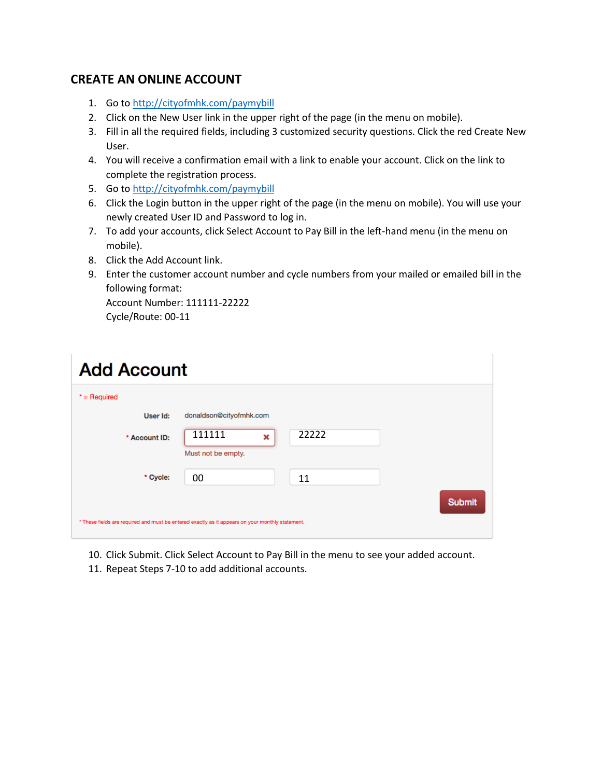## **CREATE AN ONLINE ACCOUNT**

- 1. Go to<http://cityofmhk.com/paymybill>
- 2. Click on the New User link in the upper right of the page (in the menu on mobile).
- 3. Fill in all the required fields, including 3 customized security questions. Click the red Create New User.
- 4. You will receive a confirmation email with a link to enable your account. Click on the link to complete the registration process.
- 5. Go to<http://cityofmhk.com/paymybill>
- 6. Click the Login button in the upper right of the page (in the menu on mobile). You will use your newly created User ID and Password to log in.
- 7. To add your accounts, click Select Account to Pay Bill in the left-hand menu (in the menu on mobile).
- 8. Click the Add Account link.
- 9. Enter the customer account number and cycle numbers from your mailed or emailed bill in the following format:

Account Number: 111111-22222 Cycle/Route: 00-11

| <b>Add Account</b>                                                                               |                                            |
|--------------------------------------------------------------------------------------------------|--------------------------------------------|
| $*$ = Required                                                                                   |                                            |
| User Id:                                                                                         | donaldson@cityofmhk.com                    |
| * Account ID:                                                                                    | 111111<br>22222<br>×<br>Must not be empty. |
| * Cycle:                                                                                         | 00<br>11<br><b>Submit</b>                  |
| * These fields are required and must be entered exactly as it appears on your monthly statement. |                                            |

- 10. Click Submit. Click Select Account to Pay Bill in the menu to see your added account.
- 11. Repeat Steps 7-10 to add additional accounts.